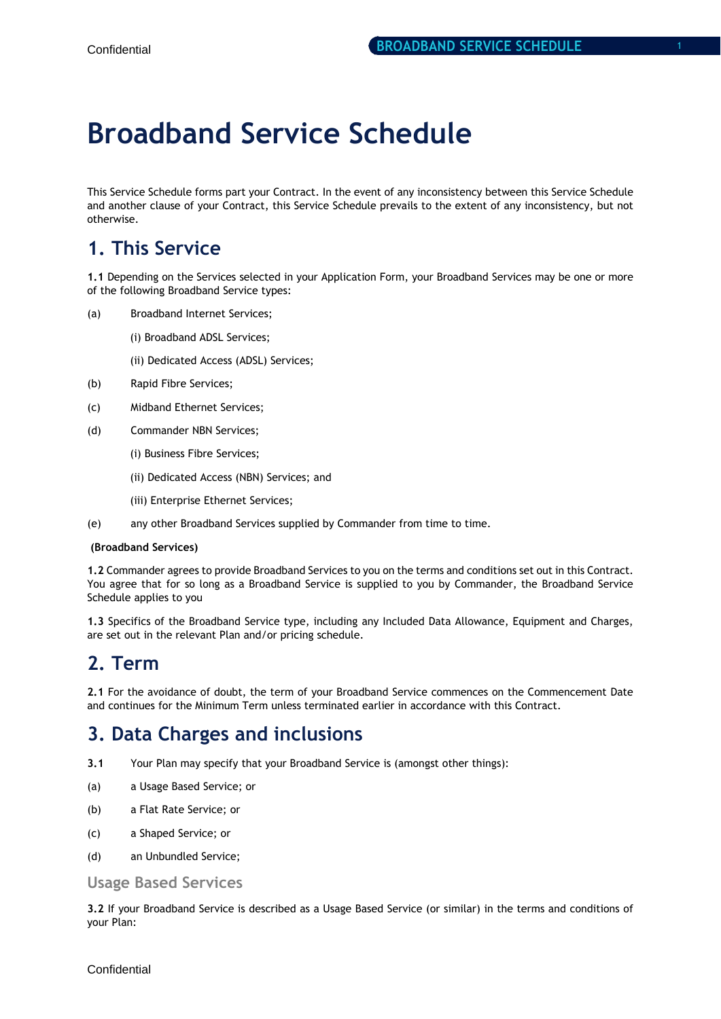# **Broadband Service Schedule**

This Service Schedule forms part your Contract. In the event of any inconsistency between this Service Schedule and another clause of your Contract, this Service Schedule prevails to the extent of any inconsistency, but not otherwise.

# **1. This Service**

**1.1** Depending on the Services selected in your Application Form, your Broadband Services may be one or more of the following Broadband Service types:

- (a) Broadband Internet Services;
	- (i) Broadband ADSL Services;

(ii) Dedicated Access (ADSL) Services;

- (b) Rapid Fibre Services;
- (c) Midband Ethernet Services;
- (d) Commander NBN Services;
	- (i) Business Fibre Services;
		- (ii) Dedicated Access (NBN) Services; and
	- (iii) Enterprise Ethernet Services;
- (e) any other Broadband Services supplied by Commander from time to time.

#### **(Broadband Services)**

**1.2** Commander agrees to provide Broadband Services to you on the terms and conditions set out in this Contract. You agree that for so long as a Broadband Service is supplied to you by Commander, the Broadband Service Schedule applies to you

**1.3** Specifics of the Broadband Service type, including any Included Data Allowance, Equipment and Charges, are set out in the relevant Plan and/or pricing schedule.

### **2. Term**

**2.1** For the avoidance of doubt, the term of your Broadband Service commences on the Commencement Date and continues for the Minimum Term unless terminated earlier in accordance with this Contract.

### **3. Data Charges and inclusions**

- **3.1** Your Plan may specify that your Broadband Service is (amongst other things):
- (a) a Usage Based Service; or
- (b) a Flat Rate Service; or
- (c) a Shaped Service; or
- (d) an Unbundled Service;

#### **Usage Based Services**

**3.2** If your Broadband Service is described as a Usage Based Service (or similar) in the terms and conditions of your Plan: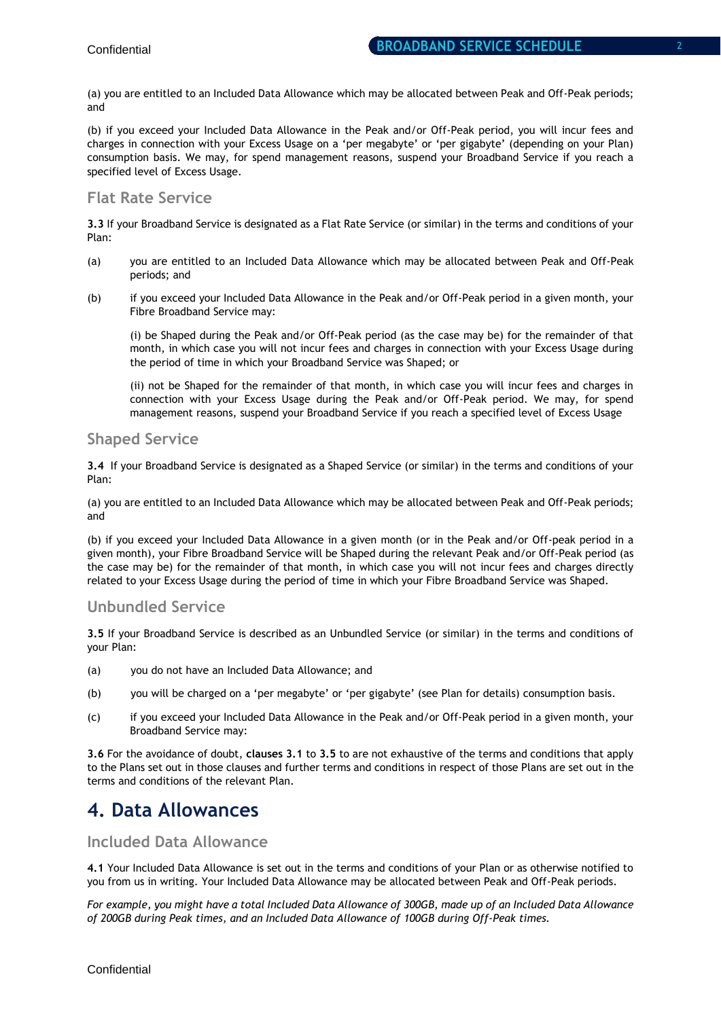(a) you are entitled to an Included Data Allowance which may be allocated between Peak and Off-Peak periods; and

(b) if you exceed your Included Data Allowance in the Peak and/or Off-Peak period, you will incur fees and charges in connection with your Excess Usage on a 'per megabyte' or 'per gigabyte' (depending on your Plan) consumption basis. We may, for spend management reasons, suspend your Broadband Service if you reach a specified level of Excess Usage.

### **Flat Rate Service**

**3.3** If your Broadband Service is designated as a Flat Rate Service (or similar) in the terms and conditions of your Plan:

- (a) you are entitled to an Included Data Allowance which may be allocated between Peak and Off-Peak periods; and
- (b) if you exceed your Included Data Allowance in the Peak and/or Off-Peak period in a given month, your Fibre Broadband Service may:

(i) be Shaped during the Peak and/or Off-Peak period (as the case may be) for the remainder of that month, in which case you will not incur fees and charges in connection with your Excess Usage during the period of time in which your Broadband Service was Shaped; or

(ii) not be Shaped for the remainder of that month, in which case you will incur fees and charges in connection with your Excess Usage during the Peak and/or Off-Peak period. We may, for spend management reasons, suspend your Broadband Service if you reach a specified level of Excess Usage

### **Shaped Service**

**3.4** If your Broadband Service is designated as a Shaped Service (or similar) in the terms and conditions of your Plan:

(a) you are entitled to an Included Data Allowance which may be allocated between Peak and Off-Peak periods; and

(b) if you exceed your Included Data Allowance in a given month (or in the Peak and/or Off-peak period in a given month), your Fibre Broadband Service will be Shaped during the relevant Peak and/or Off-Peak period (as the case may be) for the remainder of that month, in which case you will not incur fees and charges directly related to your Excess Usage during the period of time in which your Fibre Broadband Service was Shaped.

### **Unbundled Service**

**3.5** If your Broadband Service is described as an Unbundled Service (or similar) in the terms and conditions of your Plan:

- (a) you do not have an Included Data Allowance; and
- (b) you will be charged on a 'per megabyte' or 'per gigabyte' (see Plan for details) consumption basis.
- (c) if you exceed your Included Data Allowance in the Peak and/or Off-Peak period in a given month, your Broadband Service may:

**3.6** For the avoidance of doubt, **clauses 3.1** to **3.5** to are not exhaustive of the terms and conditions that apply to the Plans set out in those clauses and further terms and conditions in respect of those Plans are set out in the terms and conditions of the relevant Plan.

### **4. Data Allowances**

### **Included Data Allowance**

**4.1** Your Included Data Allowance is set out in the terms and conditions of your Plan or as otherwise notified to you from us in writing. Your Included Data Allowance may be allocated between Peak and Off-Peak periods.

*For example, you might have a total Included Data Allowance of 300GB, made up of an Included Data Allowance of 200GB during Peak times, and an Included Data Allowance of 100GB during Off-Peak times.*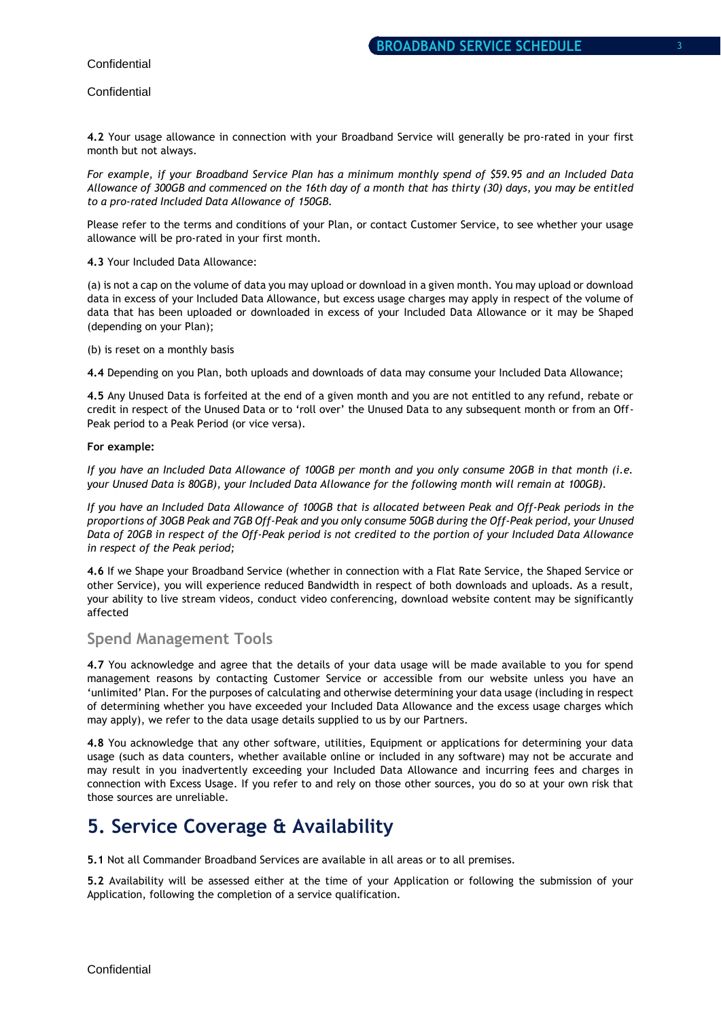#### **Confidential**

**4.2** Your usage allowance in connection with your Broadband Service will generally be pro-rated in your first month but not always.

*For example, if your Broadband Service Plan has a minimum monthly spend of \$59.95 and an Included Data Allowance of 300GB and commenced on the 16th day of a month that has thirty (30) days, you may be entitled to a pro-rated Included Data Allowance of 150GB.* 

Please refer to the terms and conditions of your Plan, or contact Customer Service, to see whether your usage allowance will be pro-rated in your first month.

#### **4.3** Your Included Data Allowance:

(a) is not a cap on the volume of data you may upload or download in a given month. You may upload or download data in excess of your Included Data Allowance, but excess usage charges may apply in respect of the volume of data that has been uploaded or downloaded in excess of your Included Data Allowance or it may be Shaped (depending on your Plan);

#### (b) is reset on a monthly basis

**4.4** Depending on you Plan, both uploads and downloads of data may consume your Included Data Allowance;

**4.5** Any Unused Data is forfeited at the end of a given month and you are not entitled to any refund, rebate or credit in respect of the Unused Data or to 'roll over' the Unused Data to any subsequent month or from an Off-Peak period to a Peak Period (or vice versa).

#### **For example:**

*If you have an Included Data Allowance of 100GB per month and you only consume 20GB in that month (i.e. your Unused Data is 80GB), your Included Data Allowance for the following month will remain at 100GB).* 

*If you have an Included Data Allowance of 100GB that is allocated between Peak and Off-Peak periods in the proportions of 30GB Peak and 7GB Off-Peak and you only consume 50GB during the Off-Peak period, your Unused Data of 20GB in respect of the Off-Peak period is not credited to the portion of your Included Data Allowance in respect of the Peak period;* 

**4.6** If we Shape your Broadband Service (whether in connection with a Flat Rate Service, the Shaped Service or other Service), you will experience reduced Bandwidth in respect of both downloads and uploads. As a result, your ability to live stream videos, conduct video conferencing, download website content may be significantly affected

#### **Spend Management Tools**

**4.7** You acknowledge and agree that the details of your data usage will be made available to you for spend management reasons by contacting Customer Service or accessible from our website unless you have an 'unlimited' Plan. For the purposes of calculating and otherwise determining your data usage (including in respect of determining whether you have exceeded your Included Data Allowance and the excess usage charges which may apply), we refer to the data usage details supplied to us by our Partners.

**4.8** You acknowledge that any other software, utilities, Equipment or applications for determining your data usage (such as data counters, whether available online or included in any software) may not be accurate and may result in you inadvertently exceeding your Included Data Allowance and incurring fees and charges in connection with Excess Usage. If you refer to and rely on those other sources, you do so at your own risk that those sources are unreliable.

### **5. Service Coverage & Availability**

**5.1** Not all Commander Broadband Services are available in all areas or to all premises.

**5.2** Availability will be assessed either at the time of your Application or following the submission of your Application, following the completion of a service qualification.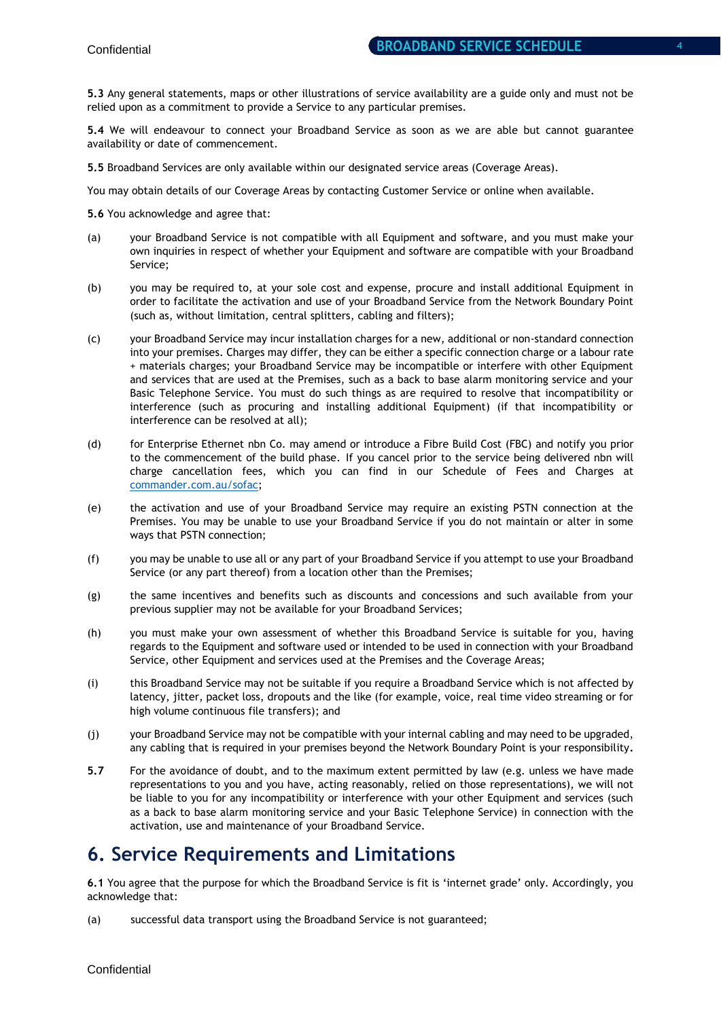**5.3** Any general statements, maps or other illustrations of service availability are a guide only and must not be relied upon as a commitment to provide a Service to any particular premises.

**5.4** We will endeavour to connect your Broadband Service as soon as we are able but cannot guarantee availability or date of commencement.

**5.5** Broadband Services are only available within our designated service areas (Coverage Areas).

You may obtain details of our Coverage Areas by contacting Customer Service or online when available.

**5.6** You acknowledge and agree that:

- (a) your Broadband Service is not compatible with all Equipment and software, and you must make your own inquiries in respect of whether your Equipment and software are compatible with your Broadband Service;
- (b) you may be required to, at your sole cost and expense, procure and install additional Equipment in order to facilitate the activation and use of your Broadband Service from the Network Boundary Point (such as, without limitation, central splitters, cabling and filters);
- (c) your Broadband Service may incur installation charges for a new, additional or non-standard connection into your premises. Charges may differ, they can be either a specific connection charge or a labour rate + materials charges; your Broadband Service may be incompatible or interfere with other Equipment and services that are used at the Premises, such as a back to base alarm monitoring service and your Basic Telephone Service. You must do such things as are required to resolve that incompatibility or interference (such as procuring and installing additional Equipment) (if that incompatibility or interference can be resolved at all);
- (d) for Enterprise Ethernet nbn Co. may amend or introduce a Fibre Build Cost (FBC) and notify you prior to the commencement of the build phase. If you cancel prior to the service being delivered nbn will charge cancellation fees, which you can find in our Schedule of Fees and Charges at [commander.com.au/sofac;](http://www.commander.com.au/sofac)
- (e) the activation and use of your Broadband Service may require an existing PSTN connection at the Premises. You may be unable to use your Broadband Service if you do not maintain or alter in some ways that PSTN connection;
- (f) you may be unable to use all or any part of your Broadband Service if you attempt to use your Broadband Service (or any part thereof) from a location other than the Premises;
- (g) the same incentives and benefits such as discounts and concessions and such available from your previous supplier may not be available for your Broadband Services;
- (h) you must make your own assessment of whether this Broadband Service is suitable for you, having regards to the Equipment and software used or intended to be used in connection with your Broadband Service, other Equipment and services used at the Premises and the Coverage Areas;
- (i) this Broadband Service may not be suitable if you require a Broadband Service which is not affected by latency, jitter, packet loss, dropouts and the like (for example, voice, real time video streaming or for high volume continuous file transfers); and
- (j) your Broadband Service may not be compatible with your internal cabling and may need to be upgraded, any cabling that is required in your premises beyond the Network Boundary Point is your responsibility**.**
- **5.7** For the avoidance of doubt, and to the maximum extent permitted by law (e.g. unless we have made representations to you and you have, acting reasonably, relied on those representations), we will not be liable to you for any incompatibility or interference with your other Equipment and services (such as a back to base alarm monitoring service and your Basic Telephone Service) in connection with the activation, use and maintenance of your Broadband Service.

### **6. Service Requirements and Limitations**

**6.1** You agree that the purpose for which the Broadband Service is fit is 'internet grade' only. Accordingly, you acknowledge that:

(a) successful data transport using the Broadband Service is not guaranteed;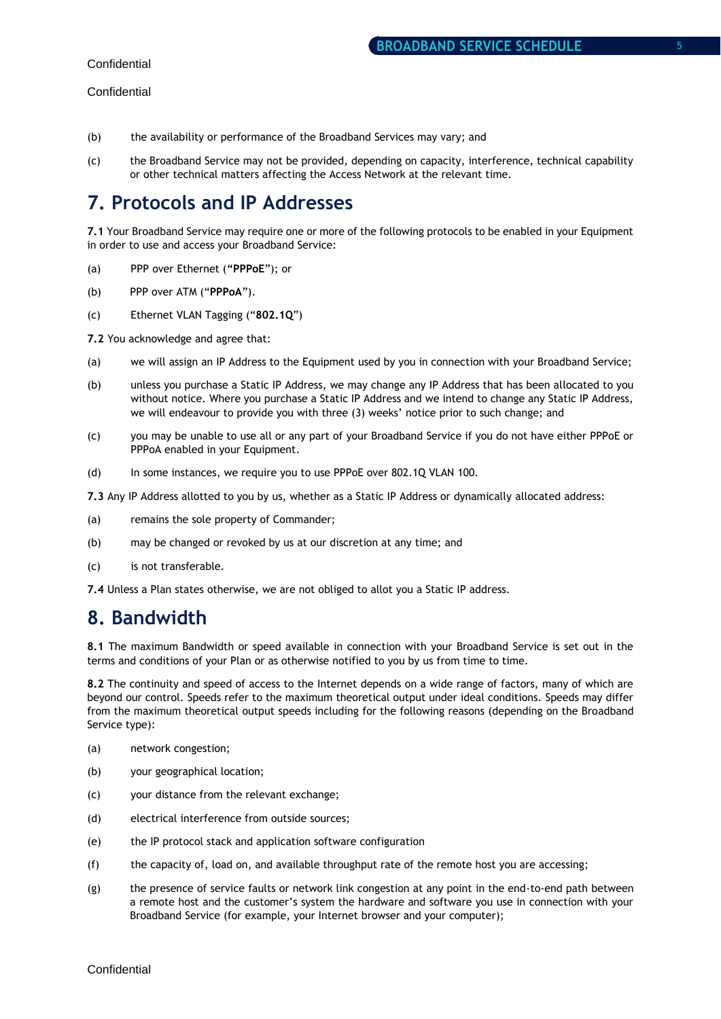- (b) the availability or performance of the Broadband Services may vary; and
- (c) the Broadband Service may not be provided, depending on capacity, interference, technical capability or other technical matters affecting the Access Network at the relevant time.

# **7. Protocols and IP Addresses**

**7.1** Your Broadband Service may require one or more of the following protocols to be enabled in your Equipment in order to use and access your Broadband Service:

- (a) PPP over Ethernet (**"PPPoE**"); or
- (b) PPP over ATM ("**PPPoA**").
- (c) Ethernet VLAN Tagging ("**802.1Q**")
- **7.2** You acknowledge and agree that:
- (a) we will assign an IP Address to the Equipment used by you in connection with your Broadband Service;
- (b) unless you purchase a Static IP Address, we may change any IP Address that has been allocated to you without notice. Where you purchase a Static IP Address and we intend to change any Static IP Address, we will endeavour to provide you with three (3) weeks' notice prior to such change; and
- (c) you may be unable to use all or any part of your Broadband Service if you do not have either PPPoE or PPPoA enabled in your Equipment.
- (d) In some instances, we require you to use PPPoE over 802.1Q VLAN 100.

**7.3** Any IP Address allotted to you by us, whether as a Static IP Address or dynamically allocated address:

- (a) remains the sole property of Commander;
- (b) may be changed or revoked by us at our discretion at any time; and
- (c) is not transferable.

**7.4** Unless a Plan states otherwise, we are not obliged to allot you a Static IP address.

### **8. Bandwidth**

**8.1** The maximum Bandwidth or speed available in connection with your Broadband Service is set out in the terms and conditions of your Plan or as otherwise notified to you by us from time to time.

**8.2** The continuity and speed of access to the Internet depends on a wide range of factors, many of which are beyond our control. Speeds refer to the maximum theoretical output under ideal conditions. Speeds may differ from the maximum theoretical output speeds including for the following reasons (depending on the Broadband Service type):

- (a) network congestion;
- (b) your geographical location;
- (c) your distance from the relevant exchange;
- (d) electrical interference from outside sources;
- (e) the IP protocol stack and application software configuration
- (f) the capacity of, load on, and available throughput rate of the remote host you are accessing;
- (g) the presence of service faults or network link congestion at any point in the end-to-end path between a remote host and the customer's system the hardware and software you use in connection with your Broadband Service (for example, your Internet browser and your computer);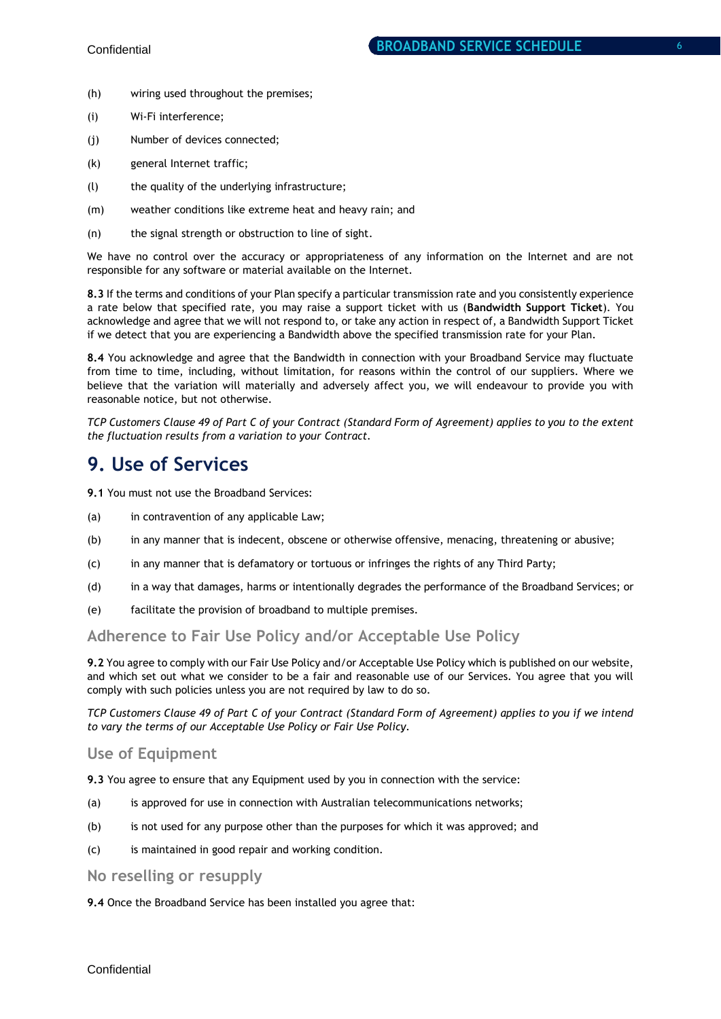- 
- (i) Wi-Fi interference;
- (j) Number of devices connected;

(h) wiring used throughout the premises;

- (k) general Internet traffic;
- (l) the quality of the underlying infrastructure;
- (m) weather conditions like extreme heat and heavy rain; and
- (n) the signal strength or obstruction to line of sight.

We have no control over the accuracy or appropriateness of any information on the Internet and are not responsible for any software or material available on the Internet.

**8.3** If the terms and conditions of your Plan specify a particular transmission rate and you consistently experience a rate below that specified rate, you may raise a support ticket with us (**Bandwidth Support Ticket**). You acknowledge and agree that we will not respond to, or take any action in respect of, a Bandwidth Support Ticket if we detect that you are experiencing a Bandwidth above the specified transmission rate for your Plan.

**8.4** You acknowledge and agree that the Bandwidth in connection with your Broadband Service may fluctuate from time to time, including, without limitation, for reasons within the control of our suppliers. Where we believe that the variation will materially and adversely affect you, we will endeavour to provide you with reasonable notice, but not otherwise.

*TCP Customers Clause 49 of Part C of your Contract (Standard Form of Agreement) applies to you to the extent the fluctuation results from a variation to your Contract.* 

### **9. Use of Services**

**9.1** You must not use the Broadband Services:

- (a) in contravention of any applicable Law;
- (b) in any manner that is indecent, obscene or otherwise offensive, menacing, threatening or abusive;
- (c) in any manner that is defamatory or tortuous or infringes the rights of any Third Party;
- (d) in a way that damages, harms or intentionally degrades the performance of the Broadband Services; or
- (e) facilitate the provision of broadband to multiple premises.

### **Adherence to Fair Use Policy and/or Acceptable Use Policy**

**9.2** You agree to comply with our Fair Use Policy and/or Acceptable Use Policy which is published on our website, and which set out what we consider to be a fair and reasonable use of our Services. You agree that you will comply with such policies unless you are not required by law to do so.

*TCP Customers Clause 49 of Part C of your Contract (Standard Form of Agreement) applies to you if we intend to vary the terms of our Acceptable Use Policy or Fair Use Policy.* 

### **Use of Equipment**

**9.3** You agree to ensure that any Equipment used by you in connection with the service:

- (a) is approved for use in connection with Australian telecommunications networks;
- (b) is not used for any purpose other than the purposes for which it was approved; and
- (c) is maintained in good repair and working condition.

#### **No reselling or resupply**

**9.4** Once the Broadband Service has been installed you agree that: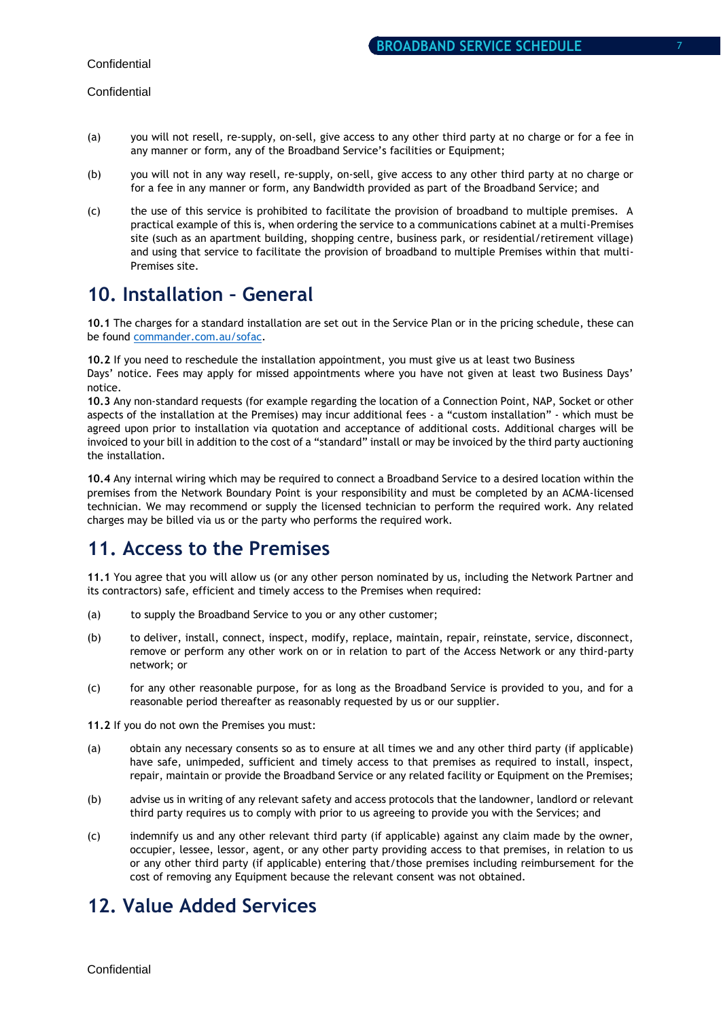- (a) you will not resell, re-supply, on-sell, give access to any other third party at no charge or for a fee in any manner or form, any of the Broadband Service's facilities or Equipment;
- (b) you will not in any way resell, re-supply, on-sell, give access to any other third party at no charge or for a fee in any manner or form, any Bandwidth provided as part of the Broadband Service; and
- (c) the use of this service is prohibited to facilitate the provision of broadband to multiple premises. A practical example of this is, when ordering the service to a communications cabinet at a multi-Premises site (such as an apartment building, shopping centre, business park, or residential/retirement village) and using that service to facilitate the provision of broadband to multiple Premises within that multi-Premises site.

### **10. Installation – General**

**10.1** The charges for a standard installation are set out in the Service Plan or in the pricing schedule, these can be found [commander.com.au/sofac.](http://www.commander.com.au/sofac)

**10.2** If you need to reschedule the installation appointment, you must give us at least two Business Days' notice. Fees may apply for missed appointments where you have not given at least two Business Days' notice.

**10.3** Any non-standard requests (for example regarding the location of a Connection Point, NAP, Socket or other aspects of the installation at the Premises) may incur additional fees - a "custom installation" - which must be agreed upon prior to installation via quotation and acceptance of additional costs. Additional charges will be invoiced to your bill in addition to the cost of a "standard" install or may be invoiced by the third party auctioning the installation.

**10.4** Any internal wiring which may be required to connect a Broadband Service to a desired location within the premises from the Network Boundary Point is your responsibility and must be completed by an ACMA-licensed technician. We may recommend or supply the licensed technician to perform the required work. Any related charges may be billed via us or the party who performs the required work.

### **11. Access to the Premises**

**11.1** You agree that you will allow us (or any other person nominated by us, including the Network Partner and its contractors) safe, efficient and timely access to the Premises when required:

- (a) to supply the Broadband Service to you or any other customer;
- (b) to deliver, install, connect, inspect, modify, replace, maintain, repair, reinstate, service, disconnect, remove or perform any other work on or in relation to part of the Access Network or any third-party network; or
- (c) for any other reasonable purpose, for as long as the Broadband Service is provided to you, and for a reasonable period thereafter as reasonably requested by us or our supplier.

**11.2** If you do not own the Premises you must:

- (a) obtain any necessary consents so as to ensure at all times we and any other third party (if applicable) have safe, unimpeded, sufficient and timely access to that premises as required to install, inspect, repair, maintain or provide the Broadband Service or any related facility or Equipment on the Premises;
- (b) advise us in writing of any relevant safety and access protocols that the landowner, landlord or relevant third party requires us to comply with prior to us agreeing to provide you with the Services; and
- (c) indemnify us and any other relevant third party (if applicable) against any claim made by the owner, occupier, lessee, lessor, agent, or any other party providing access to that premises, in relation to us or any other third party (if applicable) entering that/those premises including reimbursement for the cost of removing any Equipment because the relevant consent was not obtained.

### **12. Value Added Services**

**Confidential**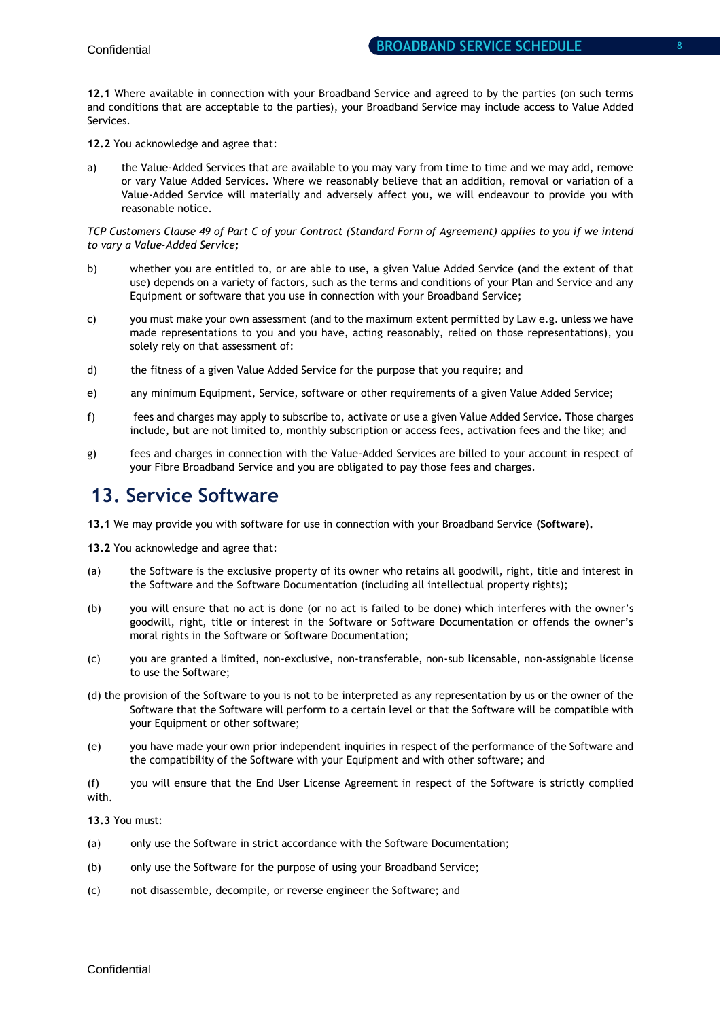**12.1** Where available in connection with your Broadband Service and agreed to by the parties (on such terms and conditions that are acceptable to the parties), your Broadband Service may include access to Value Added Services.

**12.2** You acknowledge and agree that:

a) the Value-Added Services that are available to you may vary from time to time and we may add, remove or vary Value Added Services. Where we reasonably believe that an addition, removal or variation of a Value-Added Service will materially and adversely affect you, we will endeavour to provide you with reasonable notice.

*TCP Customers Clause 49 of Part C of your Contract (Standard Form of Agreement) applies to you if we intend to vary a Value-Added Service;*

- b) whether you are entitled to, or are able to use, a given Value Added Service (and the extent of that use) depends on a variety of factors, such as the terms and conditions of your Plan and Service and any Equipment or software that you use in connection with your Broadband Service;
- c) you must make your own assessment (and to the maximum extent permitted by Law e.g. unless we have made representations to you and you have, acting reasonably, relied on those representations), you solely rely on that assessment of:
- d) the fitness of a given Value Added Service for the purpose that you require; and
- e) any minimum Equipment, Service, software or other requirements of a given Value Added Service;
- f) fees and charges may apply to subscribe to, activate or use a given Value Added Service. Those charges include, but are not limited to, monthly subscription or access fees, activation fees and the like; and
- g) fees and charges in connection with the Value-Added Services are billed to your account in respect of your Fibre Broadband Service and you are obligated to pay those fees and charges.

### **13. Service Software**

**13.1** We may provide you with software for use in connection with your Broadband Service **(Software).**

**13.2** You acknowledge and agree that:

- (a) the Software is the exclusive property of its owner who retains all goodwill, right, title and interest in the Software and the Software Documentation (including all intellectual property rights);
- (b) you will ensure that no act is done (or no act is failed to be done) which interferes with the owner's goodwill, right, title or interest in the Software or Software Documentation or offends the owner's moral rights in the Software or Software Documentation;
- (c) you are granted a limited, non-exclusive, non-transferable, non-sub licensable, non-assignable license to use the Software;
- (d) the provision of the Software to you is not to be interpreted as any representation by us or the owner of the Software that the Software will perform to a certain level or that the Software will be compatible with your Equipment or other software;
- (e) you have made your own prior independent inquiries in respect of the performance of the Software and the compatibility of the Software with your Equipment and with other software; and

(f) you will ensure that the End User License Agreement in respect of the Software is strictly complied with.

#### **13.3** You must:

- (a) only use the Software in strict accordance with the Software Documentation;
- (b) only use the Software for the purpose of using your Broadband Service;
- (c) not disassemble, decompile, or reverse engineer the Software; and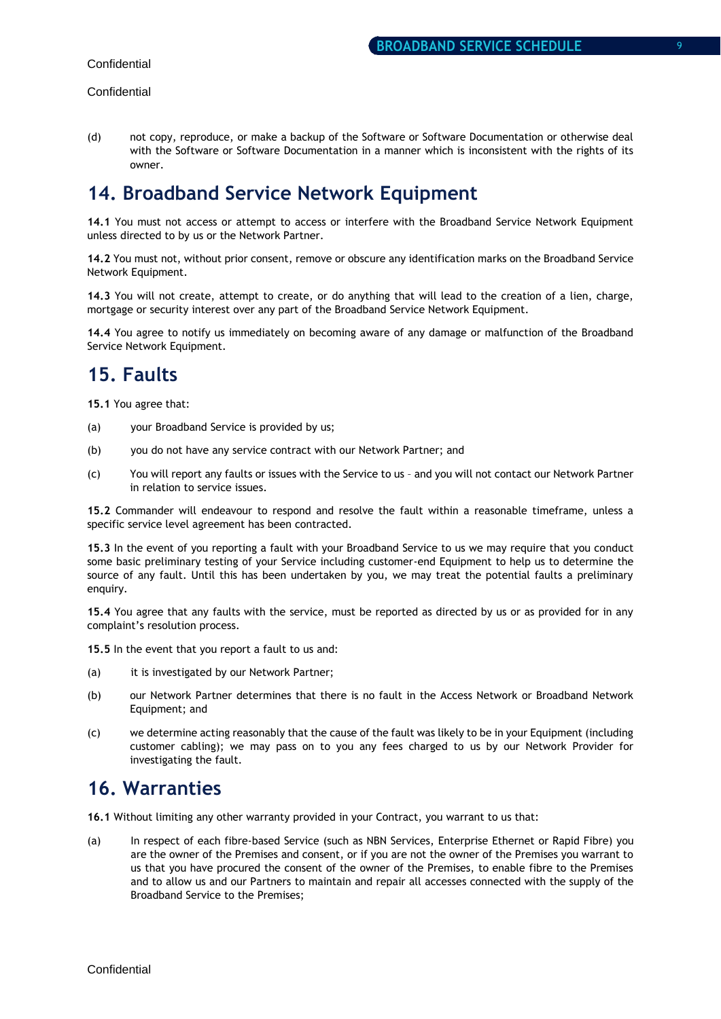(d) not copy, reproduce, or make a backup of the Software or Software Documentation or otherwise deal with the Software or Software Documentation in a manner which is inconsistent with the rights of its owner.

### **14. Broadband Service Network Equipment**

**14.1** You must not access or attempt to access or interfere with the Broadband Service Network Equipment unless directed to by us or the Network Partner.

**14.2** You must not, without prior consent, remove or obscure any identification marks on the Broadband Service Network Equipment.

**14.3** You will not create, attempt to create, or do anything that will lead to the creation of a lien, charge, mortgage or security interest over any part of the Broadband Service Network Equipment.

**14.4** You agree to notify us immediately on becoming aware of any damage or malfunction of the Broadband Service Network Equipment.

### **15. Faults**

**15.1** You agree that:

- (a) your Broadband Service is provided by us;
- (b) you do not have any service contract with our Network Partner; and
- (c) You will report any faults or issues with the Service to us and you will not contact our Network Partner in relation to service issues.

**15.2** Commander will endeavour to respond and resolve the fault within a reasonable timeframe, unless a specific service level agreement has been contracted.

**15.3** In the event of you reporting a fault with your Broadband Service to us we may require that you conduct some basic preliminary testing of your Service including customer-end Equipment to help us to determine the source of any fault. Until this has been undertaken by you, we may treat the potential faults a preliminary enquiry.

**15.4** You agree that any faults with the service, must be reported as directed by us or as provided for in any complaint's resolution process.

**15.5** In the event that you report a fault to us and:

- (a) it is investigated by our Network Partner;
- (b) our Network Partner determines that there is no fault in the Access Network or Broadband Network Equipment; and
- (c) we determine acting reasonably that the cause of the fault was likely to be in your Equipment (including customer cabling); we may pass on to you any fees charged to us by our Network Provider for investigating the fault.

### **16. Warranties**

**16.1** Without limiting any other warranty provided in your Contract, you warrant to us that:

(a) In respect of each fibre-based Service (such as NBN Services, Enterprise Ethernet or Rapid Fibre) you are the owner of the Premises and consent, or if you are not the owner of the Premises you warrant to us that you have procured the consent of the owner of the Premises, to enable fibre to the Premises and to allow us and our Partners to maintain and repair all accesses connected with the supply of the Broadband Service to the Premises;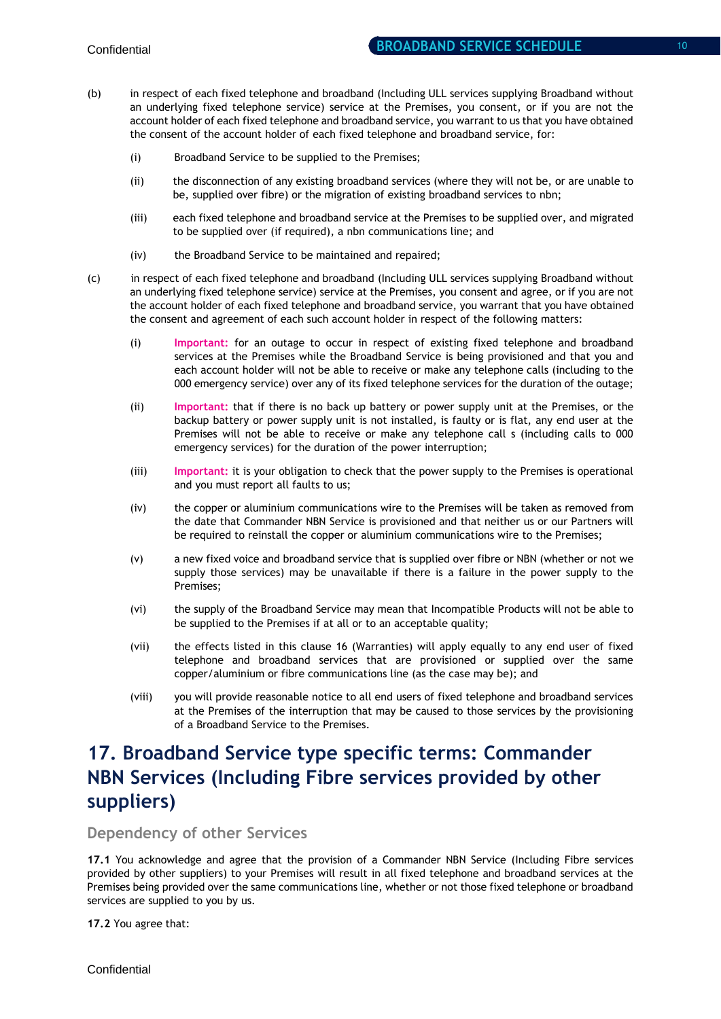- (b) in respect of each fixed telephone and broadband (Including ULL services supplying Broadband without an underlying fixed telephone service) service at the Premises, you consent, or if you are not the account holder of each fixed telephone and broadband service, you warrant to us that you have obtained the consent of the account holder of each fixed telephone and broadband service, for:
	- (i) Broadband Service to be supplied to the Premises;
	- (ii) the disconnection of any existing broadband services (where they will not be, or are unable to be, supplied over fibre) or the migration of existing broadband services to nbn;
	- (iii) each fixed telephone and broadband service at the Premises to be supplied over, and migrated to be supplied over (if required), a nbn communications line; and
	- (iv) the Broadband Service to be maintained and repaired;
- (c) in respect of each fixed telephone and broadband (Including ULL services supplying Broadband without an underlying fixed telephone service) service at the Premises, you consent and agree, or if you are not the account holder of each fixed telephone and broadband service, you warrant that you have obtained the consent and agreement of each such account holder in respect of the following matters:
	- (i) **Important:** for an outage to occur in respect of existing fixed telephone and broadband services at the Premises while the Broadband Service is being provisioned and that you and each account holder will not be able to receive or make any telephone calls (including to the 000 emergency service) over any of its fixed telephone services for the duration of the outage;
	- (ii) **Important:** that if there is no back up battery or power supply unit at the Premises, or the backup battery or power supply unit is not installed, is faulty or is flat, any end user at the Premises will not be able to receive or make any telephone call s (including calls to 000 emergency services) for the duration of the power interruption;
	- (iii) **Important:** it is your obligation to check that the power supply to the Premises is operational and you must report all faults to us;
	- (iv) the copper or aluminium communications wire to the Premises will be taken as removed from the date that Commander NBN Service is provisioned and that neither us or our Partners will be required to reinstall the copper or aluminium communications wire to the Premises;
	- (v) a new fixed voice and broadband service that is supplied over fibre or NBN (whether or not we supply those services) may be unavailable if there is a failure in the power supply to the Premises;
	- (vi) the supply of the Broadband Service may mean that Incompatible Products will not be able to be supplied to the Premises if at all or to an acceptable quality;
	- (vii) the effects listed in this clause 16 (Warranties) will apply equally to any end user of fixed telephone and broadband services that are provisioned or supplied over the same copper/aluminium or fibre communications line (as the case may be); and
	- (viii) you will provide reasonable notice to all end users of fixed telephone and broadband services at the Premises of the interruption that may be caused to those services by the provisioning of a Broadband Service to the Premises.

# **17. Broadband Service type specific terms: Commander NBN Services (Including Fibre services provided by other suppliers)**

**Dependency of other Services** 

**17.1** You acknowledge and agree that the provision of a Commander NBN Service (Including Fibre services provided by other suppliers) to your Premises will result in all fixed telephone and broadband services at the Premises being provided over the same communications line, whether or not those fixed telephone or broadband services are supplied to you by us.

**17.2** You agree that: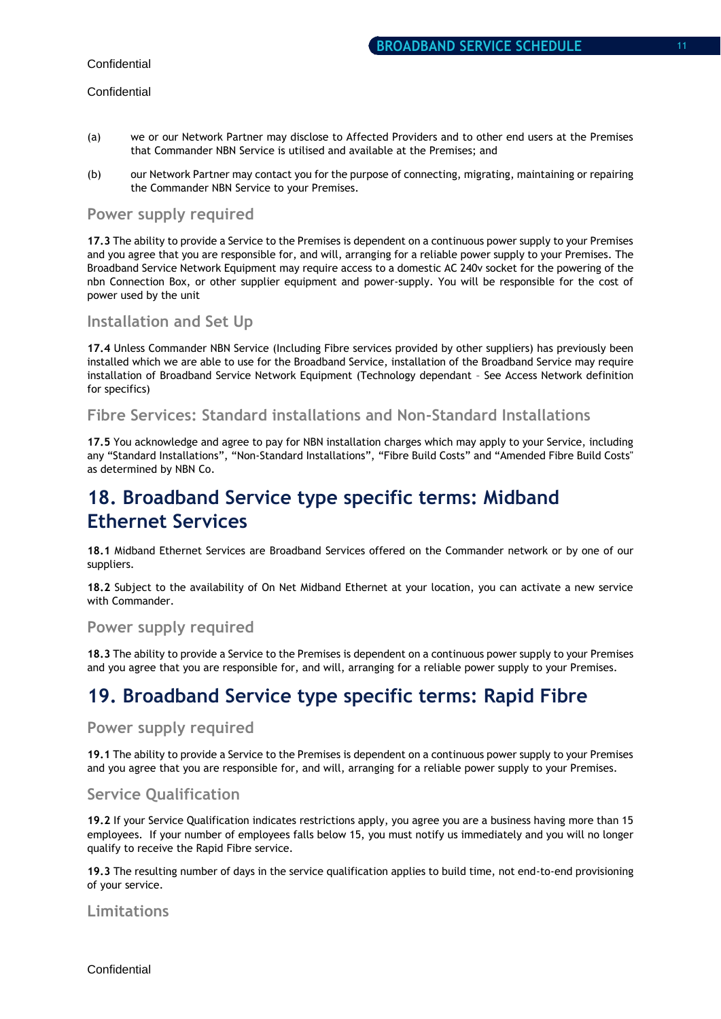#### **Confidential**

- (a) we or our Network Partner may disclose to Affected Providers and to other end users at the Premises that Commander NBN Service is utilised and available at the Premises; and
- (b) our Network Partner may contact you for the purpose of connecting, migrating, maintaining or repairing the Commander NBN Service to your Premises.

### **Power supply required**

**17.3** The ability to provide a Service to the Premises is dependent on a continuous power supply to your Premises and you agree that you are responsible for, and will, arranging for a reliable power supply to your Premises. The Broadband Service Network Equipment may require access to a domestic AC 240v socket for the powering of the nbn Connection Box, or other supplier equipment and power-supply. You will be responsible for the cost of power used by the unit

### **Installation and Set Up**

**17.4** Unless Commander NBN Service (Including Fibre services provided by other suppliers) has previously been installed which we are able to use for the Broadband Service, installation of the Broadband Service may require installation of Broadband Service Network Equipment (Technology dependant – See Access Network definition for specifics)

### **Fibre Services: Standard installations and Non-Standard Installations**

**17.5** You acknowledge and agree to pay for NBN installation charges which may apply to your Service, including any "Standard Installations", "Non-Standard Installations", "Fibre Build Costs" and "Amended Fibre Build Costs" as determined by NBN Co.

## **18. Broadband Service type specific terms: Midband Ethernet Services**

**18.1** Midband Ethernet Services are Broadband Services offered on the Commander network or by one of our suppliers.

**18.2** Subject to the availability of On Net Midband Ethernet at your location, you can activate a new service with Commander.

### **Power supply required**

**18.3** The ability to provide a Service to the Premises is dependent on a continuous power supply to your Premises and you agree that you are responsible for, and will, arranging for a reliable power supply to your Premises.

### **19. Broadband Service type specific terms: Rapid Fibre**

#### **Power supply required**

**19.1** The ability to provide a Service to the Premises is dependent on a continuous power supply to your Premises and you agree that you are responsible for, and will, arranging for a reliable power supply to your Premises.

### **Service Qualification**

**19.2** If your Service Qualification indicates restrictions apply, you agree you are a business having more than 15 employees. If your number of employees falls below 15, you must notify us immediately and you will no longer qualify to receive the Rapid Fibre service.

**19.3** The resulting number of days in the service qualification applies to build time, not end-to-end provisioning of your service.

### **Limitations**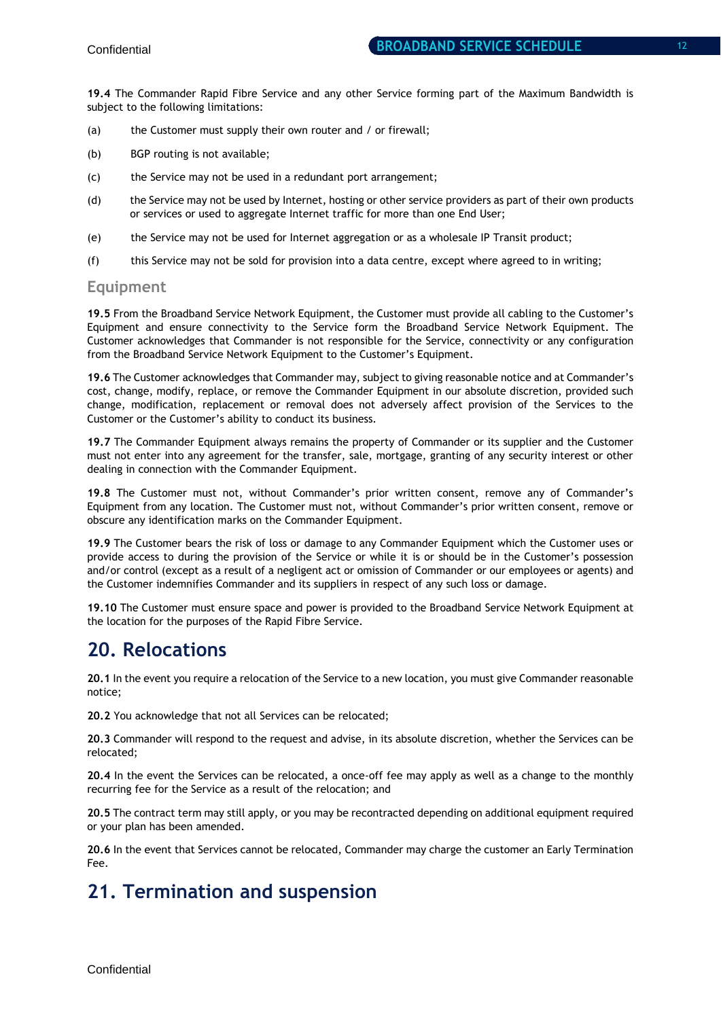**19.4** The Commander Rapid Fibre Service and any other Service forming part of the Maximum Bandwidth is subject to the following limitations:

- (a) the Customer must supply their own router and / or firewall;
- (b) BGP routing is not available;
- (c) the Service may not be used in a redundant port arrangement;
- (d) the Service may not be used by Internet, hosting or other service providers as part of their own products or services or used to aggregate Internet traffic for more than one End User;
- (e) the Service may not be used for Internet aggregation or as a wholesale IP Transit product;
- (f) this Service may not be sold for provision into a data centre, except where agreed to in writing;

#### **Equipment**

**19.5** From the Broadband Service Network Equipment, the Customer must provide all cabling to the Customer's Equipment and ensure connectivity to the Service form the Broadband Service Network Equipment. The Customer acknowledges that Commander is not responsible for the Service, connectivity or any configuration from the Broadband Service Network Equipment to the Customer's Equipment.

**19.6** The Customer acknowledges that Commander may, subject to giving reasonable notice and at Commander's cost, change, modify, replace, or remove the Commander Equipment in our absolute discretion, provided such change, modification, replacement or removal does not adversely affect provision of the Services to the Customer or the Customer's ability to conduct its business.

**19.7** The Commander Equipment always remains the property of Commander or its supplier and the Customer must not enter into any agreement for the transfer, sale, mortgage, granting of any security interest or other dealing in connection with the Commander Equipment.

**19.8** The Customer must not, without Commander's prior written consent, remove any of Commander's Equipment from any location. The Customer must not, without Commander's prior written consent, remove or obscure any identification marks on the Commander Equipment.

**19.9** The Customer bears the risk of loss or damage to any Commander Equipment which the Customer uses or provide access to during the provision of the Service or while it is or should be in the Customer's possession and/or control (except as a result of a negligent act or omission of Commander or our employees or agents) and the Customer indemnifies Commander and its suppliers in respect of any such loss or damage.

**19.10** The Customer must ensure space and power is provided to the Broadband Service Network Equipment at the location for the purposes of the Rapid Fibre Service.

### **20. Relocations**

**20.1** In the event you require a relocation of the Service to a new location, you must give Commander reasonable notice;

**20.2** You acknowledge that not all Services can be relocated;

**20.3** Commander will respond to the request and advise, in its absolute discretion, whether the Services can be relocated;

**20.4** In the event the Services can be relocated, a once-off fee may apply as well as a change to the monthly recurring fee for the Service as a result of the relocation; and

**20.5** The contract term may still apply, or you may be recontracted depending on additional equipment required or your plan has been amended.

**20.6** In the event that Services cannot be relocated, Commander may charge the customer an Early Termination Fee.

### **21. Termination and suspension**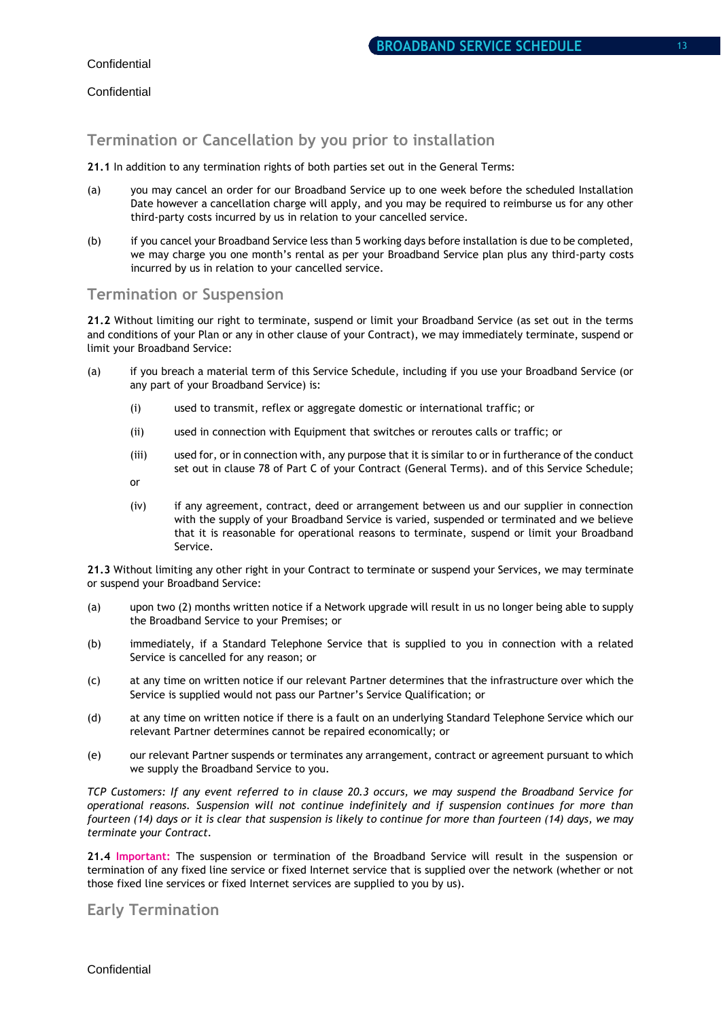### **Termination or Cancellation by you prior to installation**

#### **21.1** In addition to any termination rights of both parties set out in the General Terms:

- (a) you may cancel an order for our Broadband Service up to one week before the scheduled Installation Date however a cancellation charge will apply, and you may be required to reimburse us for any other third-party costs incurred by us in relation to your cancelled service.
- (b) if you cancel your Broadband Service less than 5 working days before installation is due to be completed, we may charge you one month's rental as per your Broadband Service plan plus any third-party costs incurred by us in relation to your cancelled service.

### **Termination or Suspension**

Service.

**21.2** Without limiting our right to terminate, suspend or limit your Broadband Service (as set out in the terms and conditions of your Plan or any in other clause of your Contract), we may immediately terminate, suspend or limit your Broadband Service:

- (a) if you breach a material term of this Service Schedule, including if you use your Broadband Service (or any part of your Broadband Service) is:
	- (i) used to transmit, reflex or aggregate domestic or international traffic; or
	- (ii) used in connection with Equipment that switches or reroutes calls or traffic; or
	- (iii) used for, or in connection with, any purpose that it is similar to or in furtherance of the conduct set out in clause 78 of Part C of your Contract (General Terms). and of this Service Schedule; or
	- (iv) if any agreement, contract, deed or arrangement between us and our supplier in connection with the supply of your Broadband Service is varied, suspended or terminated and we believe that it is reasonable for operational reasons to terminate, suspend or limit your Broadband

**21.3** Without limiting any other right in your Contract to terminate or suspend your Services, we may terminate or suspend your Broadband Service:

- (a) upon two (2) months written notice if a Network upgrade will result in us no longer being able to supply the Broadband Service to your Premises; or
- (b) immediately, if a Standard Telephone Service that is supplied to you in connection with a related Service is cancelled for any reason; or
- (c) at any time on written notice if our relevant Partner determines that the infrastructure over which the Service is supplied would not pass our Partner's Service Qualification; or
- (d) at any time on written notice if there is a fault on an underlying Standard Telephone Service which our relevant Partner determines cannot be repaired economically; or
- (e) our relevant Partner suspends or terminates any arrangement, contract or agreement pursuant to which we supply the Broadband Service to you.

*TCP Customers: If any event referred to in clause 20.3 occurs, we may suspend the Broadband Service for operational reasons. Suspension will not continue indefinitely and if suspension continues for more than fourteen (14) days or it is clear that suspension is likely to continue for more than fourteen (14) days, we may terminate your Contract.* 

**21.4 Important:** The suspension or termination of the Broadband Service will result in the suspension or termination of any fixed line service or fixed Internet service that is supplied over the network (whether or not those fixed line services or fixed Internet services are supplied to you by us).

### **Early Termination**

**Confidential**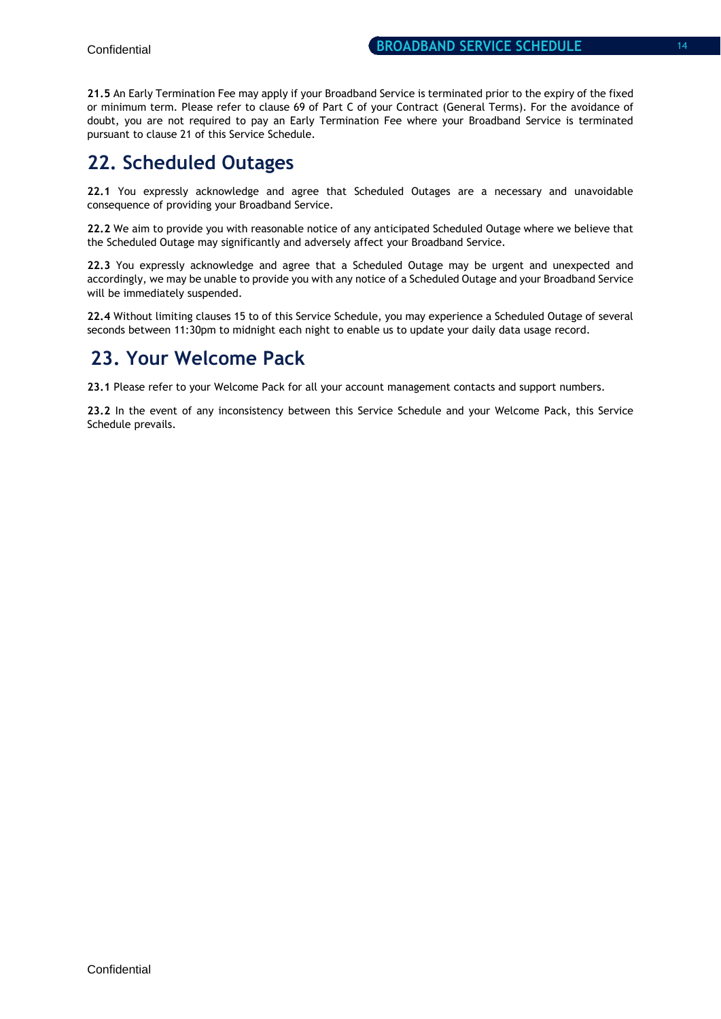**21.5** An Early Termination Fee may apply if your Broadband Service is terminated prior to the expiry of the fixed or minimum term. Please refer to clause 69 of Part C of your Contract (General Terms). For the avoidance of doubt, you are not required to pay an Early Termination Fee where your Broadband Service is terminated pursuant to clause 21 of this Service Schedule.

# **22. Scheduled Outages**

**22.1** You expressly acknowledge and agree that Scheduled Outages are a necessary and unavoidable consequence of providing your Broadband Service.

**22.2** We aim to provide you with reasonable notice of any anticipated Scheduled Outage where we believe that the Scheduled Outage may significantly and adversely affect your Broadband Service.

**22.3** You expressly acknowledge and agree that a Scheduled Outage may be urgent and unexpected and accordingly, we may be unable to provide you with any notice of a Scheduled Outage and your Broadband Service will be immediately suspended.

**22.4** Without limiting clauses 15 to of this Service Schedule, you may experience a Scheduled Outage of several seconds between 11:30pm to midnight each night to enable us to update your daily data usage record.

### **23. Your Welcome Pack**

**23.1** Please refer to your Welcome Pack for all your account management contacts and support numbers.

**23.2** In the event of any inconsistency between this Service Schedule and your Welcome Pack, this Service Schedule prevails.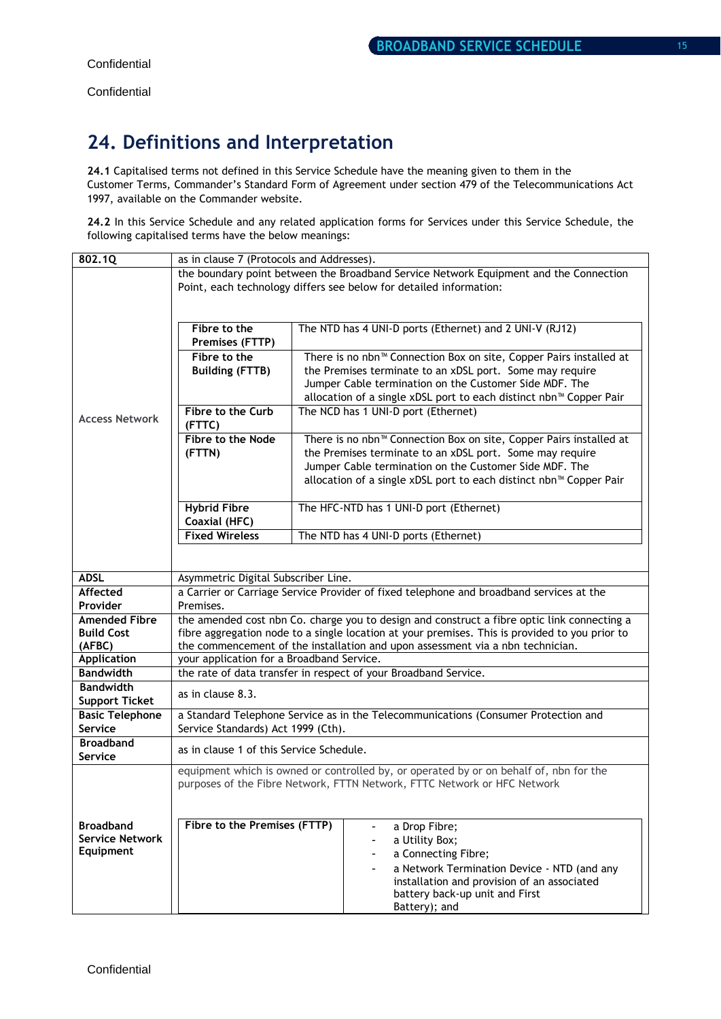# **24. Definitions and Interpretation**

**24.1** Capitalised terms not defined in this Service Schedule have the meaning given to them in the Customer Terms, Commander's Standard Form of Agreement under section 479 of the Telecommunications Act 1997, available on the Commander website.

**24.2** In this Service Schedule and any related application forms for Services under this Service Schedule, the following capitalised terms have the below meanings:

| 802.1Q                      | as in clause 7 (Protocols and Addresses).                                                                    |                                                                                        |  |  |
|-----------------------------|--------------------------------------------------------------------------------------------------------------|----------------------------------------------------------------------------------------|--|--|
|                             | the boundary point between the Broadband Service Network Equipment and the Connection                        |                                                                                        |  |  |
|                             |                                                                                                              | Point, each technology differs see below for detailed information:                     |  |  |
|                             |                                                                                                              |                                                                                        |  |  |
|                             |                                                                                                              |                                                                                        |  |  |
|                             | Fibre to the                                                                                                 | The NTD has 4 UNI-D ports (Ethernet) and 2 UNI-V (RJ12)                                |  |  |
|                             | Premises (FTTP)                                                                                              |                                                                                        |  |  |
|                             | Fibre to the                                                                                                 | There is no nbn <sup>™</sup> Connection Box on site, Copper Pairs installed at         |  |  |
|                             | <b>Building (FTTB)</b>                                                                                       | the Premises terminate to an xDSL port. Some may require                               |  |  |
|                             |                                                                                                              | Jumper Cable termination on the Customer Side MDF. The                                 |  |  |
|                             |                                                                                                              | allocation of a single xDSL port to each distinct nbn™ Copper Pair                     |  |  |
| <b>Access Network</b>       | Fibre to the Curb                                                                                            | The NCD has 1 UNI-D port (Ethernet)                                                    |  |  |
|                             | (FTTC)                                                                                                       |                                                                                        |  |  |
|                             | Fibre to the Node                                                                                            | There is no nbn <sup>™</sup> Connection Box on site, Copper Pairs installed at         |  |  |
|                             | (FTTN)                                                                                                       | the Premises terminate to an xDSL port. Some may require                               |  |  |
|                             |                                                                                                              | Jumper Cable termination on the Customer Side MDF. The                                 |  |  |
|                             |                                                                                                              | allocation of a single xDSL port to each distinct nbn™ Copper Pair                     |  |  |
|                             |                                                                                                              |                                                                                        |  |  |
|                             | <b>Hybrid Fibre</b>                                                                                          | The HFC-NTD has 1 UNI-D port (Ethernet)                                                |  |  |
|                             | Coaxial (HFC)                                                                                                |                                                                                        |  |  |
|                             | <b>Fixed Wireless</b>                                                                                        | The NTD has 4 UNI-D ports (Ethernet)                                                   |  |  |
|                             |                                                                                                              |                                                                                        |  |  |
|                             |                                                                                                              |                                                                                        |  |  |
| <b>ADSL</b>                 | Asymmetric Digital Subscriber Line.                                                                          |                                                                                        |  |  |
| Affected                    | a Carrier or Carriage Service Provider of fixed telephone and broadband services at the                      |                                                                                        |  |  |
| Provider                    | Premises.                                                                                                    |                                                                                        |  |  |
| <b>Amended Fibre</b>        | the amended cost nbn Co. charge you to design and construct a fibre optic link connecting a                  |                                                                                        |  |  |
| <b>Build Cost</b><br>(AFBC) | fibre aggregation node to a single location at your premises. This is provided to you prior to               |                                                                                        |  |  |
| <b>Application</b>          | the commencement of the installation and upon assessment via a nbn technician.                               |                                                                                        |  |  |
| <b>Bandwidth</b>            | your application for a Broadband Service.<br>the rate of data transfer in respect of your Broadband Service. |                                                                                        |  |  |
| <b>Bandwidth</b>            |                                                                                                              |                                                                                        |  |  |
| <b>Support Ticket</b>       | as in clause 8.3.                                                                                            |                                                                                        |  |  |
| <b>Basic Telephone</b>      |                                                                                                              | a Standard Telephone Service as in the Telecommunications (Consumer Protection and     |  |  |
| Service                     | Service Standards) Act 1999 (Cth).                                                                           |                                                                                        |  |  |
| <b>Broadband</b>            |                                                                                                              |                                                                                        |  |  |
| <b>Service</b>              | as in clause 1 of this Service Schedule.                                                                     |                                                                                        |  |  |
|                             |                                                                                                              | equipment which is owned or controlled by, or operated by or on behalf of, nbn for the |  |  |
|                             | purposes of the Fibre Network, FTTN Network, FTTC Network or HFC Network                                     |                                                                                        |  |  |
|                             |                                                                                                              |                                                                                        |  |  |
|                             |                                                                                                              |                                                                                        |  |  |
| <b>Broadband</b>            | Fibre to the Premises (FTTP)                                                                                 | a Drop Fibre;<br>$\qquad \qquad \blacksquare$                                          |  |  |
| <b>Service Network</b>      |                                                                                                              | a Utility Box;<br>٠                                                                    |  |  |
| Equipment                   |                                                                                                              | a Connecting Fibre;<br>٠                                                               |  |  |
|                             |                                                                                                              | a Network Termination Device - NTD (and any                                            |  |  |
|                             |                                                                                                              | installation and provision of an associated                                            |  |  |
|                             |                                                                                                              | battery back-up unit and First                                                         |  |  |
|                             |                                                                                                              | Battery); and                                                                          |  |  |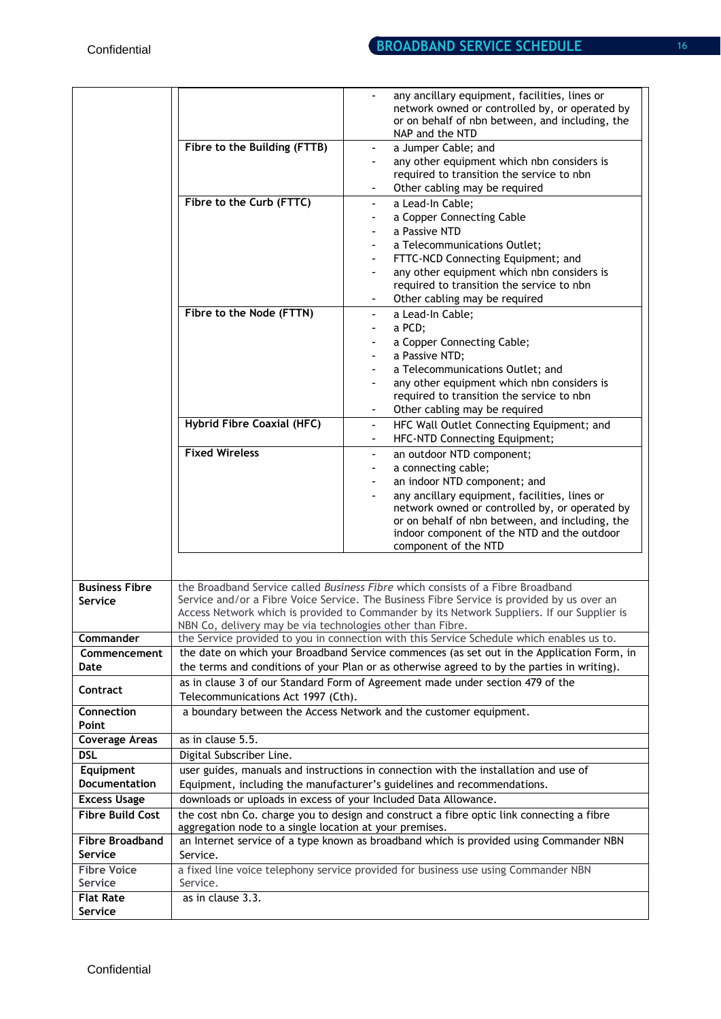|                               |                                                                                                | any ancillary equipment, facilities, lines or<br>network owned or controlled by, or operated by<br>or on behalf of nbn between, and including, the<br>NAP and the NTD |  |  |
|-------------------------------|------------------------------------------------------------------------------------------------|-----------------------------------------------------------------------------------------------------------------------------------------------------------------------|--|--|
|                               | Fibre to the Building (FTTB)                                                                   | a Jumper Cable; and<br>$\overline{\phantom{a}}$                                                                                                                       |  |  |
|                               |                                                                                                | any other equipment which nbn considers is<br>$\overline{\phantom{a}}$                                                                                                |  |  |
|                               |                                                                                                | required to transition the service to nbn                                                                                                                             |  |  |
|                               |                                                                                                | Other cabling may be required<br>٠                                                                                                                                    |  |  |
|                               | Fibre to the Curb (FTTC)                                                                       | a Lead-In Cable;<br>$\overline{\phantom{a}}$                                                                                                                          |  |  |
|                               |                                                                                                | a Copper Connecting Cable<br>$\overline{\phantom{a}}$                                                                                                                 |  |  |
|                               |                                                                                                | a Passive NTD                                                                                                                                                         |  |  |
|                               |                                                                                                | a Telecommunications Outlet;                                                                                                                                          |  |  |
|                               |                                                                                                | FTTC-NCD Connecting Equipment; and                                                                                                                                    |  |  |
|                               |                                                                                                | any other equipment which nbn considers is                                                                                                                            |  |  |
|                               |                                                                                                | required to transition the service to nbn                                                                                                                             |  |  |
|                               |                                                                                                | Other cabling may be required                                                                                                                                         |  |  |
|                               | Fibre to the Node (FTTN)                                                                       | a Lead-In Cable;<br>$\overline{\phantom{a}}$                                                                                                                          |  |  |
|                               |                                                                                                | a PCD;<br>-                                                                                                                                                           |  |  |
|                               |                                                                                                | a Copper Connecting Cable;                                                                                                                                            |  |  |
|                               |                                                                                                | a Passive NTD;                                                                                                                                                        |  |  |
|                               |                                                                                                | a Telecommunications Outlet; and                                                                                                                                      |  |  |
|                               |                                                                                                | any other equipment which nbn considers is                                                                                                                            |  |  |
|                               |                                                                                                | required to transition the service to nbn                                                                                                                             |  |  |
|                               |                                                                                                | Other cabling may be required                                                                                                                                         |  |  |
|                               | <b>Hybrid Fibre Coaxial (HFC)</b>                                                              | HFC Wall Outlet Connecting Equipment; and<br>$\blacksquare$                                                                                                           |  |  |
|                               | <b>Fixed Wireless</b>                                                                          | HFC-NTD Connecting Equipment;                                                                                                                                         |  |  |
|                               |                                                                                                | an outdoor NTD component;<br>۰                                                                                                                                        |  |  |
|                               |                                                                                                | a connecting cable;<br>$\overline{\phantom{a}}$<br>an indoor NTD component; and                                                                                       |  |  |
|                               |                                                                                                | any ancillary equipment, facilities, lines or                                                                                                                         |  |  |
|                               |                                                                                                | network owned or controlled by, or operated by                                                                                                                        |  |  |
|                               |                                                                                                | or on behalf of nbn between, and including, the                                                                                                                       |  |  |
|                               |                                                                                                | indoor component of the NTD and the outdoor                                                                                                                           |  |  |
|                               |                                                                                                | component of the NTD                                                                                                                                                  |  |  |
|                               |                                                                                                |                                                                                                                                                                       |  |  |
| <b>Business Fibre</b>         |                                                                                                | the Broadband Service called Business Fibre which consists of a Fibre Broadband                                                                                       |  |  |
| Service                       | Service and/or a Fibre Voice Service. The Business Fibre Service is provided by us over an     |                                                                                                                                                                       |  |  |
|                               | NBN Co, delivery may be via technologies other than Fibre.                                     | Access Network which is provided to Commander by its Network Suppliers. If our Supplier is                                                                            |  |  |
| Commander                     |                                                                                                | the Service provided to you in connection with this Service Schedule which enables us to.                                                                             |  |  |
| Commencement                  |                                                                                                | the date on which your Broadband Service commences (as set out in the Application Form, in                                                                            |  |  |
| Date                          | the terms and conditions of your Plan or as otherwise agreed to by the parties in writing).    |                                                                                                                                                                       |  |  |
|                               |                                                                                                | as in clause 3 of our Standard Form of Agreement made under section 479 of the                                                                                        |  |  |
| Contract                      | Telecommunications Act 1997 (Cth).                                                             |                                                                                                                                                                       |  |  |
| Connection<br>Point           |                                                                                                | a boundary between the Access Network and the customer equipment.                                                                                                     |  |  |
| <b>Coverage Areas</b>         | as in clause 5.5.                                                                              |                                                                                                                                                                       |  |  |
| <b>DSL</b>                    | Digital Subscriber Line.                                                                       |                                                                                                                                                                       |  |  |
| Equipment                     |                                                                                                | user guides, manuals and instructions in connection with the installation and use of                                                                                  |  |  |
| Documentation                 |                                                                                                | Equipment, including the manufacturer's guidelines and recommendations.                                                                                               |  |  |
| <b>Excess Usage</b>           | downloads or uploads in excess of your Included Data Allowance.                                |                                                                                                                                                                       |  |  |
| <b>Fibre Build Cost</b>       |                                                                                                | the cost nbn Co. charge you to design and construct a fibre optic link connecting a fibre                                                                             |  |  |
|                               | aggregation node to a single location at your premises.                                        |                                                                                                                                                                       |  |  |
| <b>Fibre Broadband</b>        | an Internet service of a type known as broadband which is provided using Commander NBN         |                                                                                                                                                                       |  |  |
| Service                       | Service.                                                                                       |                                                                                                                                                                       |  |  |
| <b>Fibre Voice</b><br>Service | a fixed line voice telephony service provided for business use using Commander NBN<br>Service. |                                                                                                                                                                       |  |  |
| <b>Flat Rate</b>              | as in clause 3.3.                                                                              |                                                                                                                                                                       |  |  |
| Service                       |                                                                                                |                                                                                                                                                                       |  |  |
|                               |                                                                                                |                                                                                                                                                                       |  |  |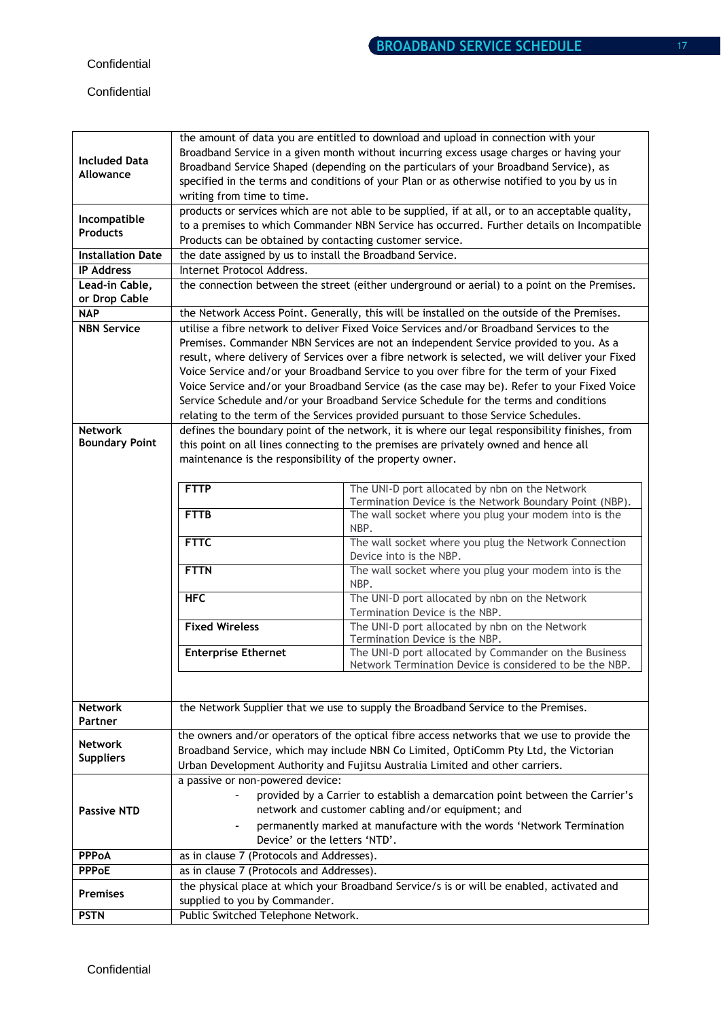### **Confidential**

|                                         | the amount of data you are entitled to download and upload in connection with your                                                                                                          |                                                                                                                  |  |  |
|-----------------------------------------|---------------------------------------------------------------------------------------------------------------------------------------------------------------------------------------------|------------------------------------------------------------------------------------------------------------------|--|--|
|                                         | Broadband Service in a given month without incurring excess usage charges or having your                                                                                                    |                                                                                                                  |  |  |
| <b>Included Data</b>                    | Broadband Service Shaped (depending on the particulars of your Broadband Service), as                                                                                                       |                                                                                                                  |  |  |
| Allowance                               |                                                                                                                                                                                             | specified in the terms and conditions of your Plan or as otherwise notified to you by us in                      |  |  |
|                                         | writing from time to time.                                                                                                                                                                  |                                                                                                                  |  |  |
|                                         |                                                                                                                                                                                             | products or services which are not able to be supplied, if at all, or to an acceptable quality,                  |  |  |
| Incompatible                            | to a premises to which Commander NBN Service has occurred. Further details on Incompatible                                                                                                  |                                                                                                                  |  |  |
| <b>Products</b>                         | Products can be obtained by contacting customer service.                                                                                                                                    |                                                                                                                  |  |  |
| <b>Installation Date</b>                | the date assigned by us to install the Broadband Service.                                                                                                                                   |                                                                                                                  |  |  |
| <b>IP Address</b>                       | Internet Protocol Address.                                                                                                                                                                  |                                                                                                                  |  |  |
| Lead-in Cable,                          | the connection between the street (either underground or aerial) to a point on the Premises.                                                                                                |                                                                                                                  |  |  |
| or Drop Cable                           |                                                                                                                                                                                             |                                                                                                                  |  |  |
| <b>NAP</b>                              | the Network Access Point. Generally, this will be installed on the outside of the Premises.                                                                                                 |                                                                                                                  |  |  |
| <b>NBN Service</b>                      | utilise a fibre network to deliver Fixed Voice Services and/or Broadband Services to the                                                                                                    |                                                                                                                  |  |  |
|                                         | Premises. Commander NBN Services are not an independent Service provided to you. As a                                                                                                       |                                                                                                                  |  |  |
|                                         | result, where delivery of Services over a fibre network is selected, we will deliver your Fixed<br>Voice Service and/or your Broadband Service to you over fibre for the term of your Fixed |                                                                                                                  |  |  |
|                                         |                                                                                                                                                                                             |                                                                                                                  |  |  |
|                                         |                                                                                                                                                                                             |                                                                                                                  |  |  |
|                                         | Voice Service and/or your Broadband Service (as the case may be). Refer to your Fixed Voice<br>Service Schedule and/or your Broadband Service Schedule for the terms and conditions         |                                                                                                                  |  |  |
|                                         |                                                                                                                                                                                             |                                                                                                                  |  |  |
|                                         | relating to the term of the Services provided pursuant to those Service Schedules.                                                                                                          |                                                                                                                  |  |  |
| <b>Network</b><br><b>Boundary Point</b> | defines the boundary point of the network, it is where our legal responsibility finishes, from                                                                                              |                                                                                                                  |  |  |
|                                         | this point on all lines connecting to the premises are privately owned and hence all                                                                                                        |                                                                                                                  |  |  |
|                                         | maintenance is the responsibility of the property owner.                                                                                                                                    |                                                                                                                  |  |  |
|                                         |                                                                                                                                                                                             |                                                                                                                  |  |  |
|                                         | <b>FTTP</b>                                                                                                                                                                                 | The UNI-D port allocated by nbn on the Network                                                                   |  |  |
|                                         | <b>FTTB</b>                                                                                                                                                                                 | Termination Device is the Network Boundary Point (NBP).<br>The wall socket where you plug your modem into is the |  |  |
|                                         |                                                                                                                                                                                             | NBP.                                                                                                             |  |  |
|                                         | <b>FTTC</b>                                                                                                                                                                                 | The wall socket where you plug the Network Connection                                                            |  |  |
|                                         |                                                                                                                                                                                             | Device into is the NBP.                                                                                          |  |  |
|                                         | <b>FTTN</b>                                                                                                                                                                                 | The wall socket where you plug your modem into is the                                                            |  |  |
|                                         |                                                                                                                                                                                             | NBP.                                                                                                             |  |  |
|                                         | <b>HFC</b>                                                                                                                                                                                  | The UNI-D port allocated by nbn on the Network                                                                   |  |  |
|                                         |                                                                                                                                                                                             | Termination Device is the NBP.                                                                                   |  |  |
|                                         | <b>Fixed Wireless</b>                                                                                                                                                                       | The UNI-D port allocated by nbn on the Network                                                                   |  |  |
|                                         |                                                                                                                                                                                             | Termination Device is the NBP.                                                                                   |  |  |
|                                         | <b>Enterprise Ethernet</b>                                                                                                                                                                  | The UNI-D port allocated by Commander on the Business                                                            |  |  |
|                                         |                                                                                                                                                                                             | Network Termination Device is considered to be the NBP.                                                          |  |  |
|                                         |                                                                                                                                                                                             |                                                                                                                  |  |  |
|                                         |                                                                                                                                                                                             |                                                                                                                  |  |  |
| <b>Network</b>                          |                                                                                                                                                                                             | the Network Supplier that we use to supply the Broadband Service to the Premises.                                |  |  |
| Partner                                 |                                                                                                                                                                                             |                                                                                                                  |  |  |
| <b>Network</b>                          |                                                                                                                                                                                             | the owners and/or operators of the optical fibre access networks that we use to provide the                      |  |  |
| <b>Suppliers</b>                        | Broadband Service, which may include NBN Co Limited, OptiComm Pty Ltd, the Victorian<br>Urban Development Authority and Fujitsu Australia Limited and other carriers.                       |                                                                                                                  |  |  |
|                                         |                                                                                                                                                                                             |                                                                                                                  |  |  |
|                                         | a passive or non-powered device:                                                                                                                                                            |                                                                                                                  |  |  |
| <b>Passive NTD</b>                      | provided by a Carrier to establish a demarcation point between the Carrier's                                                                                                                |                                                                                                                  |  |  |
|                                         | network and customer cabling and/or equipment; and                                                                                                                                          |                                                                                                                  |  |  |
|                                         | permanently marked at manufacture with the words 'Network Termination                                                                                                                       |                                                                                                                  |  |  |
|                                         | Device' or the letters 'NTD'.                                                                                                                                                               |                                                                                                                  |  |  |
| <b>PPPoA</b>                            | as in clause 7 (Protocols and Addresses).                                                                                                                                                   |                                                                                                                  |  |  |
| <b>PPPoE</b>                            | as in clause 7 (Protocols and Addresses).                                                                                                                                                   |                                                                                                                  |  |  |
|                                         | the physical place at which your Broadband Service/s is or will be enabled, activated and                                                                                                   |                                                                                                                  |  |  |
| <b>Premises</b>                         | supplied to you by Commander.                                                                                                                                                               |                                                                                                                  |  |  |
| <b>PSTN</b>                             | Public Switched Telephone Network.                                                                                                                                                          |                                                                                                                  |  |  |